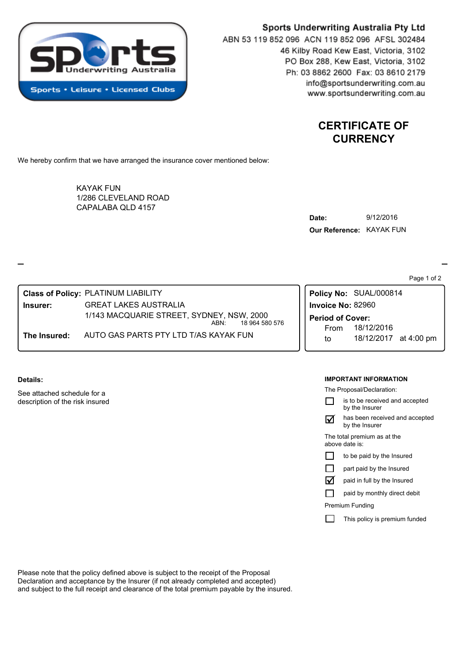

# Sports Underwriting Australia Pty Ltd

ABN 53 119 852 096 ACN 119 852 096 AFSL 302484 46 Kilby Road Kew East, Victoria, 3102 PO Box 288, Kew East, Victoria, 3102 Ph: 03 8862 2600 Fax: 03 8610 2179 info@sportsunderwriting.com.au www.sportsunderwriting.com.au

> **CERTIFICATE OF CURRENCY**

We hereby confirm that we have arranged the insurance cover mentioned below:

CAPALABA QLD 4157 KAYAK FUN 1/286 CLEVELAND ROAD

| Date:                    | 9/12/2016 |
|--------------------------|-----------|
| Our Reference: KAYAK FUN |           |

Page 1 of 2

**The Insured:** AUTO GAS PARTS PTY LTD T/AS KAYAK FUN **Insurer:** GREAT LAKES AUSTRALIA **Class of Policy:** PLATINUM LIABILITY 18 964 580 576 1/143 MACQUARIE STREET, SYDNEY, NSW, 2000 ABN:

**Details:**

See attached schedule for a description of the risk insured

# **IMPORTANT INFORMATION**

to 18/12/2017 at 4:00 pm

The Proposal/Declaration:

From 18/12/2016

**Policy No:** SUAL/000814

**Period of Cover:**

**Invoice No:** 82960

|                                               | is to be received and accepted<br>by the Insurer |  |
|-----------------------------------------------|--------------------------------------------------|--|
|                                               | has been received and accepted<br>by the Insurer |  |
| The total premium as at the<br>above date is: |                                                  |  |
|                                               | to be paid by the Insured                        |  |
|                                               | part paid by the Insured                         |  |
| l٧                                            | paid in full by the Insured                      |  |
|                                               | paid by monthly direct debit                     |  |
| Premium Funding                               |                                                  |  |
|                                               |                                                  |  |

This policy is premium funded  $\Box$ 

Please note that the policy defined above is subject to the receipt of the Proposal Declaration and acceptance by the Insurer (if not already completed and accepted) and subject to the full receipt and clearance of the total premium payable by the insured.